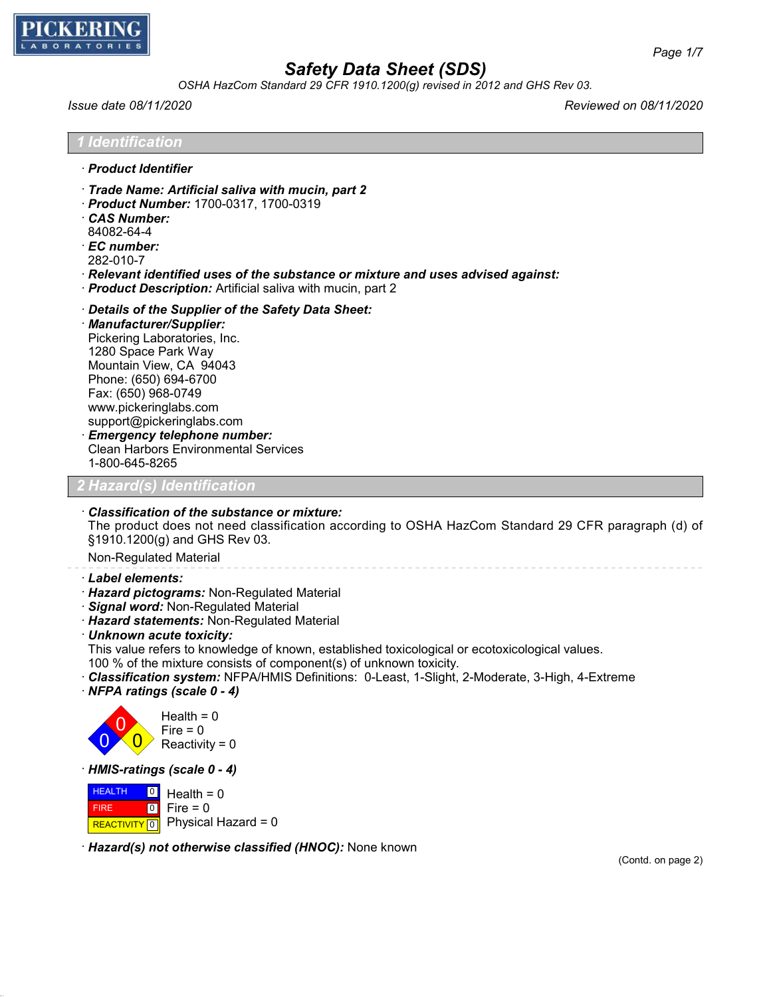

*OSHA HazCom Standard 29 CFR 1910.1200(g) revised in 2012 and GHS Rev 03.*

*Issue date 08/11/2020 Reviewed on 08/11/2020*

*1 Identification*

- · *Product Identifier*
- · *Trade Name: Artificial saliva with mucin, part 2*
- · *Product Number:* 1700-0317, 1700-0319
- · *CAS Number:*
- 84082-64-4
- · *EC number:*
- 282-010-7
- · *Relevant identified uses of the substance or mixture and uses advised against:*
- · *Product Description:* Artificial saliva with mucin, part 2
- · *Details of the Supplier of the Safety Data Sheet:*
- · *Manufacturer/Supplier:*
- Pickering Laboratories, Inc. 1280 Space Park Way Mountain View, CA 94043 Phone: (650) 694-6700 Fax: (650) 968-0749 www.pickeringlabs.com support@pickeringlabs.com · *Emergency telephone number:* Clean Harbors Environmental Services
- 1-800-645-8265

## *2 Hazard(s) Identification*

· *Classification of the substance or mixture:*

The product does not need classification according to OSHA HazCom Standard 29 CFR paragraph (d) of §1910.1200(g) and GHS Rev 03.

Non-Regulated Material

- · *Label elements:*
- · *Hazard pictograms:* Non-Regulated Material
- · *Signal word:* Non-Regulated Material
- · *Hazard statements:* Non-Regulated Material
- · *Unknown acute toxicity:*

This value refers to knowledge of known, established toxicological or ecotoxicological values.

- 100 % of the mixture consists of component(s) of unknown toxicity.
- · *Classification system:* NFPA/HMIS Definitions: 0-Least, 1-Slight, 2-Moderate, 3-High, 4-Extreme
- · *NFPA ratings (scale 0 4)*



 $Health = 0$  $Fire = 0$  $Reactivity = 0$ 

· *HMIS-ratings (scale 0 - 4)*

**HEALTH**  FIRE REACTIVITY 0  $\boxed{0}$  $\boxed{0}$ Health  $= 0$  $Fire = 0$ Physical Hazard = 0

· *Hazard(s) not otherwise classified (HNOC):* None known

(Contd. on page 2)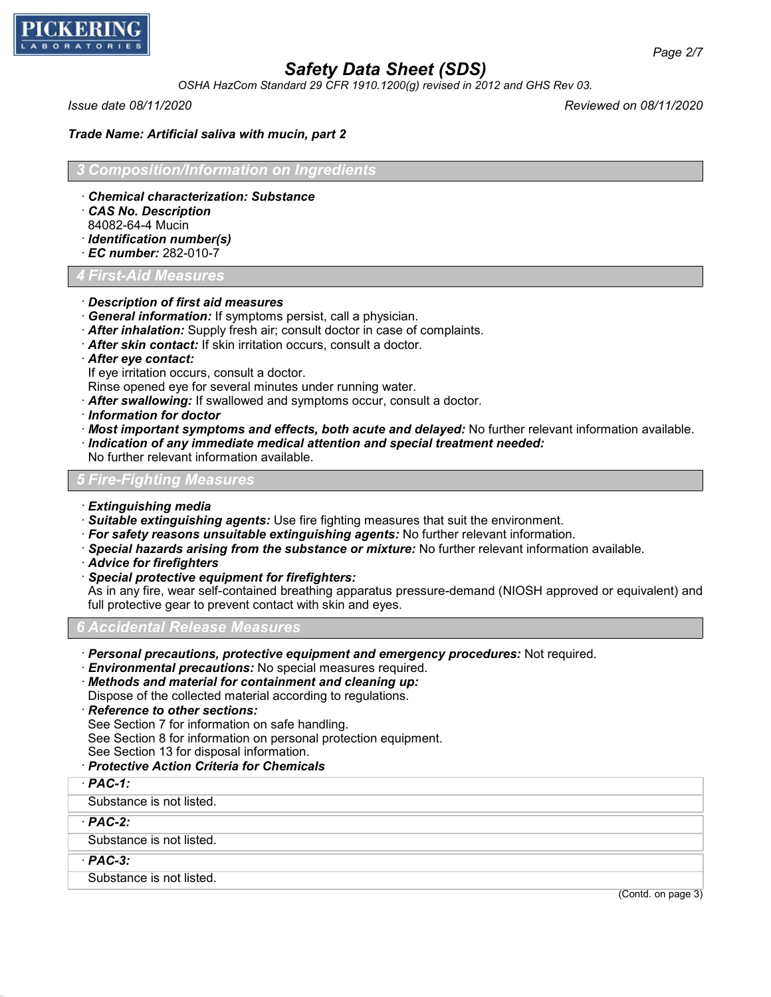

*OSHA HazCom Standard 29 CFR 1910.1200(g) revised in 2012 and GHS Rev 03.*

*Issue date 08/11/2020 Reviewed on 08/11/2020*

*Trade Name: Artificial saliva with mucin, part 2*

*3 Composition/Information on Ingredients*

- · *Chemical characterization: Substance*
- · *CAS No. Description*
- 84082-64-4 Mucin
- · *Identification number(s)*
- · *EC number:* 282-010-7

*4 First-Aid Measures*

#### · *Description of first aid measures*

- · *General information:* If symptoms persist, call a physician.
- · *After inhalation:* Supply fresh air; consult doctor in case of complaints.
- · *After skin contact:* If skin irritation occurs, consult a doctor.
- · *After eye contact:*
- If eye irritation occurs, consult a doctor.

Rinse opened eye for several minutes under running water.

- · *After swallowing:* If swallowed and symptoms occur, consult a doctor.
- · *Information for doctor*
- · *Most important symptoms and effects, both acute and delayed:* No further relevant information available.
- · *Indication of any immediate medical attention and special treatment needed:*
- No further relevant information available.

## *5 Fire-Fighting Measures*

- · *Extinguishing media*
- · *Suitable extinguishing agents:* Use fire fighting measures that suit the environment.
- · *For safety reasons unsuitable extinguishing agents:* No further relevant information.
- · *Special hazards arising from the substance or mixture:* No further relevant information available.
- · *Advice for firefighters*
- · *Special protective equipment for firefighters:*

As in any fire, wear self-contained breathing apparatus pressure-demand (NIOSH approved or equivalent) and full protective gear to prevent contact with skin and eyes.

*6 Accidental Release Measures*

- · *Personal precautions, protective equipment and emergency procedures:* Not required.
- · *Environmental precautions:* No special measures required.
- · *Methods and material for containment and cleaning up:*

Dispose of the collected material according to regulations.

· *Reference to other sections:*

See Section 7 for information on safe handling.

See Section 8 for information on personal protection equipment.

- See Section 13 for disposal information.
- · *Protective Action Criteria for Chemicals*

#### · *PAC-1:*

Substance is not listed.

### · *PAC-2:*

Substance is not listed.

## · *PAC-3:*

Substance is not listed.

(Contd. on page 3)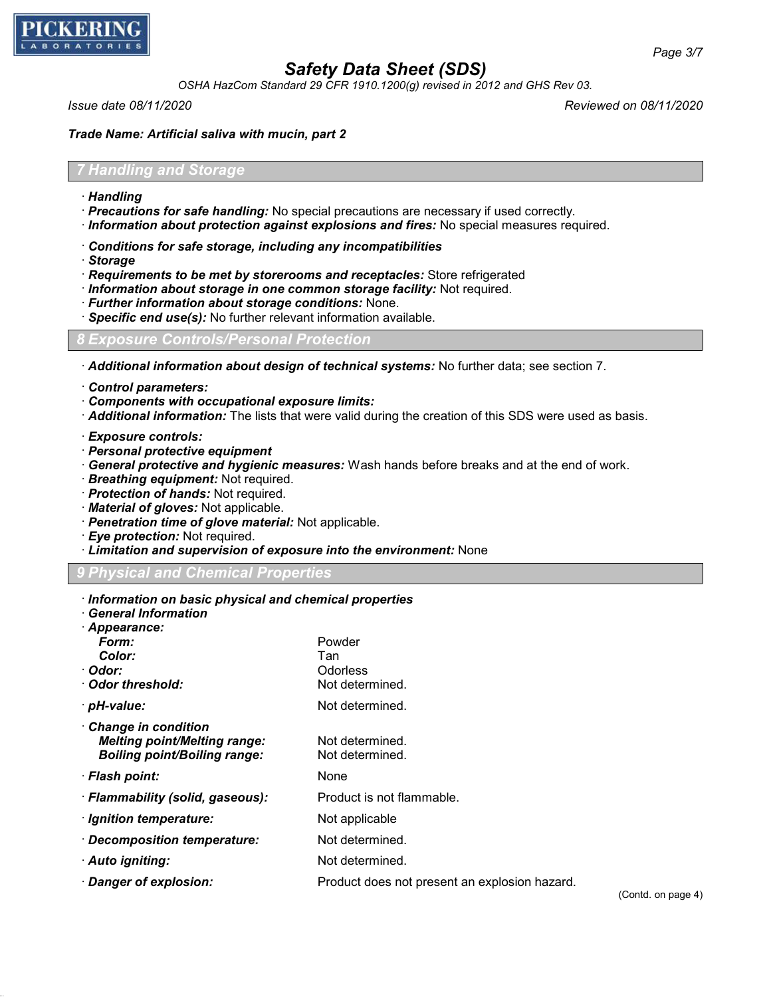

*OSHA HazCom Standard 29 CFR 1910.1200(g) revised in 2012 and GHS Rev 03.*

*Issue date 08/11/2020 Reviewed on 08/11/2020*

*Trade Name: Artificial saliva with mucin, part 2*

### *7 Handling and Storage*

- · *Handling*
- · *Precautions for safe handling:* No special precautions are necessary if used correctly.
- · *Information about protection against explosions and fires:* No special measures required.
- · *Conditions for safe storage, including any incompatibilities*
- · *Storage*
- · *Requirements to be met by storerooms and receptacles:* Store refrigerated
- · *Information about storage in one common storage facility:* Not required.
- · *Further information about storage conditions:* None.
- · *Specific end use(s):* No further relevant information available.

## *8 Exposure Controls/Personal Protection*

- · *Additional information about design of technical systems:* No further data; see section 7.
- · *Control parameters:*
- · *Components with occupational exposure limits:*
- · *Additional information:* The lists that were valid during the creation of this SDS were used as basis.
- · *Exposure controls:*
- · *Personal protective equipment*
- · *General protective and hygienic measures:* Wash hands before breaks and at the end of work.
- · *Breathing equipment:* Not required.
- · *Protection of hands:* Not required.
- · *Material of gloves:* Not applicable.
- · *Penetration time of glove material:* Not applicable.
- · *Eye protection:* Not required.
- · *Limitation and supervision of exposure into the environment:* None

### *9 Physical and Chemical Properties*

- · *Information on basic physical and chemical properties*
- · *General Information*
- · *Appearance:*

| Form:                                                                                                    | Powder                                        |                    |
|----------------------------------------------------------------------------------------------------------|-----------------------------------------------|--------------------|
| Color:                                                                                                   | Tan                                           |                    |
| · Odor:                                                                                                  | <b>Odorless</b>                               |                    |
| Odor threshold:                                                                                          | Not determined.                               |                    |
| pH-value:                                                                                                | Not determined.                               |                    |
| <b>Change in condition</b><br><b>Melting point/Melting range:</b><br><b>Boiling point/Boiling range:</b> | Not determined.<br>Not determined.            |                    |
| · Flash point:                                                                                           | None                                          |                    |
| · Flammability (solid, gaseous):                                                                         | Product is not flammable.                     |                    |
| · Ignition temperature:                                                                                  | Not applicable                                |                    |
| Decomposition temperature:                                                                               | Not determined.                               |                    |
| Auto igniting:                                                                                           | Not determined.                               |                    |
| Danger of explosion:                                                                                     | Product does not present an explosion hazard. | (Contd. on page 4) |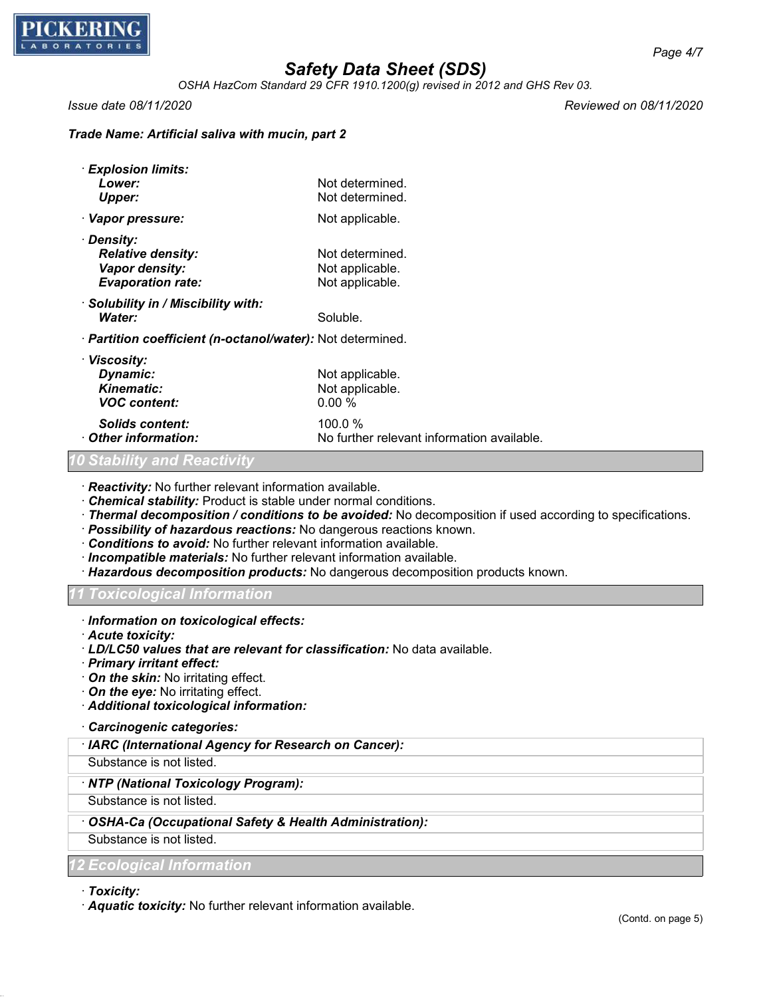

*OSHA HazCom Standard 29 CFR 1910.1200(g) revised in 2012 and GHS Rev 03.*

*Issue date 08/11/2020 Reviewed on 08/11/2020*

### *Trade Name: Artificial saliva with mucin, part 2*

| · Explosion limits:<br>Lower:<br>Upper:                                              | Not determined.<br>Not determined.                    |  |
|--------------------------------------------------------------------------------------|-------------------------------------------------------|--|
| · Vapor pressure:                                                                    | Not applicable.                                       |  |
| · Density:<br><b>Relative density:</b><br>Vapor density:<br><b>Evaporation rate:</b> | Not determined.<br>Not applicable.<br>Not applicable. |  |
| · Solubility in / Miscibility with:<br>Water:                                        | Soluble.                                              |  |
| · Partition coefficient (n-octanol/water): Not determined.                           |                                                       |  |
| · Viscosity:<br>Dynamic:<br><b>Kinematic:</b><br><b>VOC</b> content:                 | Not applicable.<br>Not applicable.<br>$0.00\%$        |  |
| Solids content:<br>Other information:<br>0.04 - LIII4 - - - - - D                    | 100.0%<br>No further relevant information available.  |  |

### *10 Stability and Reactivity*

· *Reactivity:* No further relevant information available.

· *Chemical stability:* Product is stable under normal conditions.

- · *Thermal decomposition / conditions to be avoided:* No decomposition if used according to specifications.
- · *Possibility of hazardous reactions:* No dangerous reactions known.

· *Conditions to avoid:* No further relevant information available.

- · *Incompatible materials:* No further relevant information available.
- · *Hazardous decomposition products:* No dangerous decomposition products known.

*11 Toxicological Information*

- · *Information on toxicological effects:*
- · *Acute toxicity:*
- · *LD/LC50 values that are relevant for classification:* No data available.
- · *Primary irritant effect:*
- · *On the skin:* No irritating effect.
- · *On the eye:* No irritating effect.

· *Additional toxicological information:*

· *Carcinogenic categories:*

· *IARC (International Agency for Research on Cancer):*

Substance is not listed.

### · *NTP (National Toxicology Program):*

Substance is not listed.

## · *OSHA-Ca (Occupational Safety & Health Administration):*

Substance is not listed.

### *12 Ecological Information*

· *Toxicity:*

· *Aquatic toxicity:* No further relevant information available.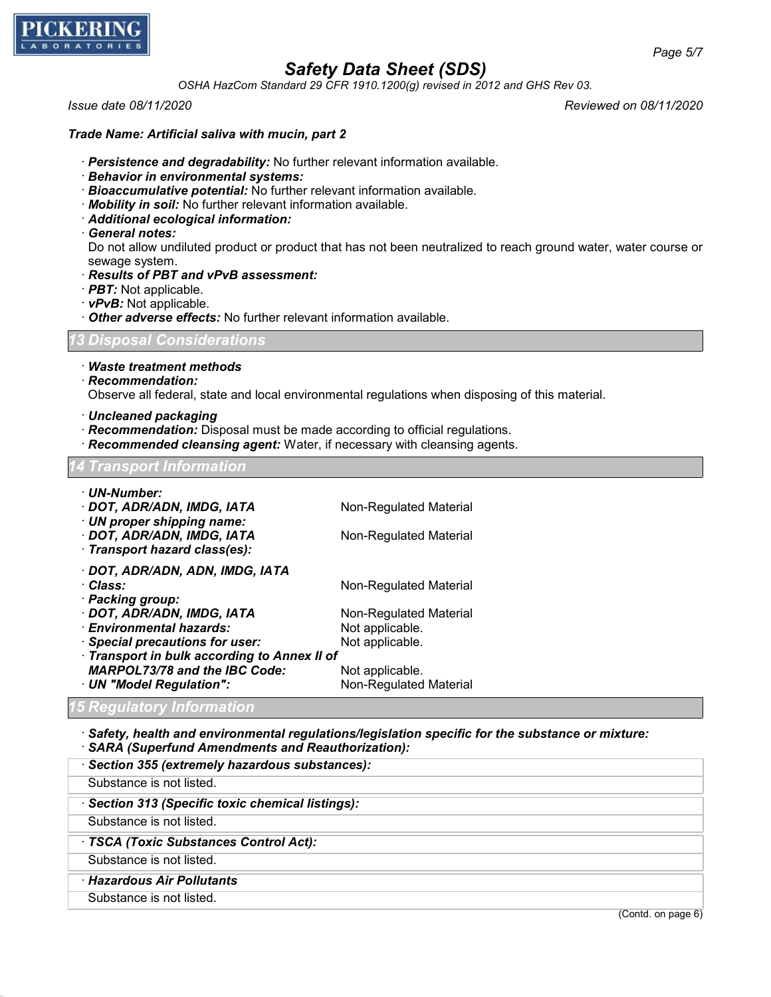

*OSHA HazCom Standard 29 CFR 1910.1200(g) revised in 2012 and GHS Rev 03.*

*Issue date 08/11/2020 Reviewed on 08/11/2020*

#### *Trade Name: Artificial saliva with mucin, part 2*

- · *Persistence and degradability:* No further relevant information available.
- · *Behavior in environmental systems:*
- · *Bioaccumulative potential:* No further relevant information available.
- · *Mobility in soil:* No further relevant information available.
- · *Additional ecological information:*
- · *General notes:*

Do not allow undiluted product or product that has not been neutralized to reach ground water, water course or sewage system.

- · *Results of PBT and vPvB assessment:*
- · *PBT:* Not applicable.
- · *vPvB:* Not applicable.
- · *Other adverse effects:* No further relevant information available.

## *13 Disposal Considerations*

#### · *Waste treatment methods*

· *Recommendation:*

Observe all federal, state and local environmental regulations when disposing of this material.

- · *Uncleaned packaging*
- · *Recommendation:* Disposal must be made according to official regulations.
- · *Recommended cleansing agent:* Water, if necessary with cleansing agents.

#### *14 Transport Information*

| · UN-Number:                                 |                        |  |  |
|----------------------------------------------|------------------------|--|--|
| · DOT, ADR/ADN, IMDG, IATA                   | Non-Regulated Material |  |  |
| · UN proper shipping name:                   |                        |  |  |
| · DOT, ADR/ADN, IMDG, IATA                   | Non-Regulated Material |  |  |
| · Transport hazard class(es):                |                        |  |  |
| · DOT, ADR/ADN, ADN, IMDG, IATA              |                        |  |  |
| · Class:                                     | Non-Regulated Material |  |  |
| · Packing group:                             |                        |  |  |
| · DOT, ADR/ADN, IMDG, IATA                   | Non-Regulated Material |  |  |
| · Environmental hazards:                     | Not applicable.        |  |  |
| · Special precautions for user:              | Not applicable.        |  |  |
| · Transport in bulk according to Annex II of |                        |  |  |
| <b>MARPOL73/78 and the IBC Code:</b>         | Not applicable.        |  |  |
| · UN "Model Regulation":                     | Non-Regulated Material |  |  |

### *15 Regulatory Information*

- · *Safety, health and environmental regulations/legislation specific for the substance or mixture:* · *SARA (Superfund Amendments and Reauthorization):*
- · *Section 355 (extremely hazardous substances):* Substance is not listed. · *Section 313 (Specific toxic chemical listings):* Substance is not listed. · *TSCA (Toxic Substances Control Act):* Substance is not listed. · *Hazardous Air Pollutants* Substance is not listed.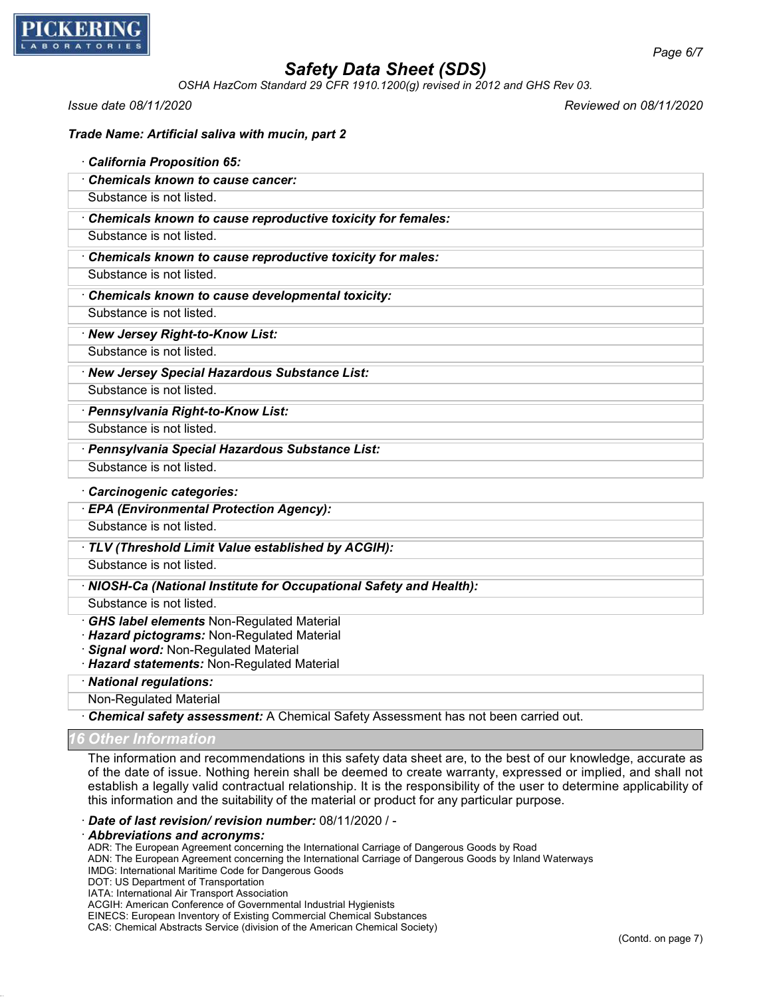

*OSHA HazCom Standard 29 CFR 1910.1200(g) revised in 2012 and GHS Rev 03.*

*Issue date 08/11/2020 Reviewed on 08/11/2020*

*Page 6/7*

| <b>California Proposition 65:</b>                                                |
|----------------------------------------------------------------------------------|
| <b>Chemicals known to cause cancer:</b>                                          |
| Substance is not listed.                                                         |
| Chemicals known to cause reproductive toxicity for females:                      |
| Substance is not listed.                                                         |
| Chemicals known to cause reproductive toxicity for males:                        |
| Substance is not listed.                                                         |
| Chemicals known to cause developmental toxicity:                                 |
| Substance is not listed.                                                         |
| · New Jersey Right-to-Know List:                                                 |
| Substance is not listed.                                                         |
| · New Jersey Special Hazardous Substance List:                                   |
| Substance is not listed.                                                         |
| · Pennsylvania Right-to-Know List:                                               |
| Substance is not listed.                                                         |
| · Pennsylvania Special Hazardous Substance List:                                 |
| Substance is not listed.                                                         |
| Carcinogenic categories:                                                         |
| · EPA (Environmental Protection Agency):                                         |
| Substance is not listed.                                                         |
| TLV (Threshold Limit Value established by ACGIH):                                |
| Substance is not listed.                                                         |
| · NIOSH-Ca (National Institute for Occupational Safety and Health):              |
| Substance is not listed.                                                         |
| GHS label elements Non-Regulated Material                                        |
| Hazard pictograms: Non-Regulated Material<br>Signal word: Non-Regulated Material |
| Hazard statements: Non-Regulated Material                                        |
| · National regulations:                                                          |
| <b>Non-Regulated Material</b>                                                    |

· *Chemical safety assessment:* A Chemical Safety Assessment has not been carried out.

*16 Other Information*

The information and recommendations in this safety data sheet are, to the best of our knowledge, accurate as of the date of issue. Nothing herein shall be deemed to create warranty, expressed or implied, and shall not establish a legally valid contractual relationship. It is the responsibility of the user to determine applicability of this information and the suitability of the material or product for any particular purpose.

#### · *Date of last revision/ revision number:* 08/11/2020 / -

#### · *Abbreviations and acronyms:*

ADR: The European Agreement concerning the International Carriage of Dangerous Goods by Road

ADN: The European Agreement concerning the International Carriage of Dangerous Goods by Inland Waterways

- IMDG: International Maritime Code for Dangerous Goods
- DOT: US Department of Transportation

IATA: International Air Transport Association

ACGIH: American Conference of Governmental Industrial Hygienists

EINECS: European Inventory of Existing Commercial Chemical Substances

CAS: Chemical Abstracts Service (division of the American Chemical Society)